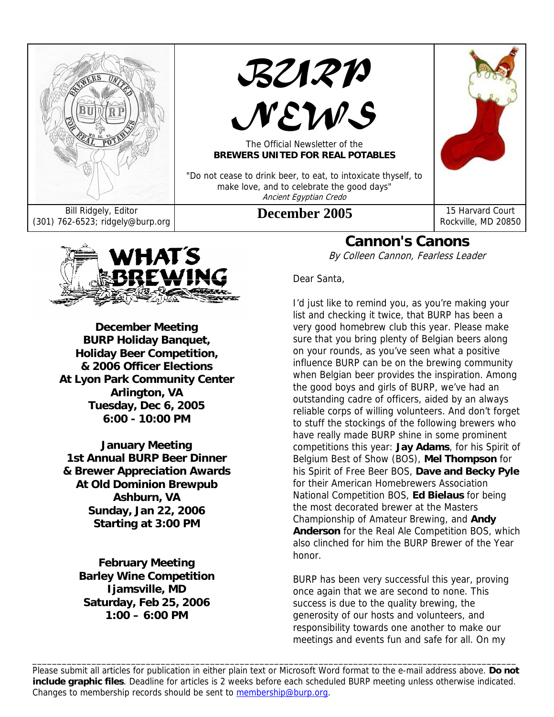



# *NEWS*

The Official Newsletter of the **BREWERS UNITED FOR REAL POTABLES** 

"Do not cease to drink beer, to eat, to intoxicate thyself, to make love, and to celebrate the good days" Ancient Egyptian Credo



WHAT'S BREWING

**December Meeting BURP Holiday Banquet, Holiday Beer Competition, & 2006 Officer Elections At Lyon Park Community Center Arlington, VA Tuesday, Dec 6, 2005 6:00 - 10:00 PM** 

**January Meeting 1st Annual BURP Beer Dinner & Brewer Appreciation Awards At Old Dominion Brewpub Ashburn, VA Sunday, Jan 22, 2006 Starting at 3:00 PM** 

**February Meeting Barley Wine Competition Ijamsville, MD Saturday, Feb 25, 2006 1:00 – 6:00 PM**

**Cannon's Canons** 

By Colleen Cannon, Fearless Leader

Dear Santa,

I'd just like to remind you, as you're making your list and checking it twice, that BURP has been a very good homebrew club this year. Please make sure that you bring plenty of Belgian beers along on your rounds, as you've seen what a positive influence BURP can be on the brewing community when Belgian beer provides the inspiration. Among the good boys and girls of BURP, we've had an outstanding cadre of officers, aided by an always reliable corps of willing volunteers. And don't forget to stuff the stockings of the following brewers who have really made BURP shine in some prominent competitions this year: **Jay Adams**, for his Spirit of Belgium Best of Show (BOS), **Mel Thompson** for his Spirit of Free Beer BOS, **Dave and Becky Pyle** for their American Homebrewers Association National Competition BOS, **Ed Bielaus** for being the most decorated brewer at the Masters Championship of Amateur Brewing, and **Andy Anderson** for the Real Ale Competition BOS, which also clinched for him the BURP Brewer of the Year honor.

BURP has been very successful this year, proving once again that we are second to none. This success is due to the quality brewing, the generosity of our hosts and volunteers, and responsibility towards one another to make our meetings and events fun and safe for all. On my

Please submit all articles for publication in either plain text or Microsoft Word format to the e-mail address above. **Do not include graphic files**. Deadline for articles is 2 weeks before each scheduled BURP meeting unless otherwise indicated. Changes to membership records should be sent to membership@burp.org.

\_\_\_\_\_\_\_\_\_\_\_\_\_\_\_\_\_\_\_\_\_\_\_\_\_\_\_\_\_\_\_\_\_\_\_\_\_\_\_\_\_\_\_\_\_\_\_\_\_\_\_\_\_\_\_\_\_\_\_\_\_\_\_\_\_\_\_\_\_\_\_\_\_\_\_\_\_\_\_\_\_\_\_\_\_\_\_\_\_\_\_\_\_\_\_\_\_\_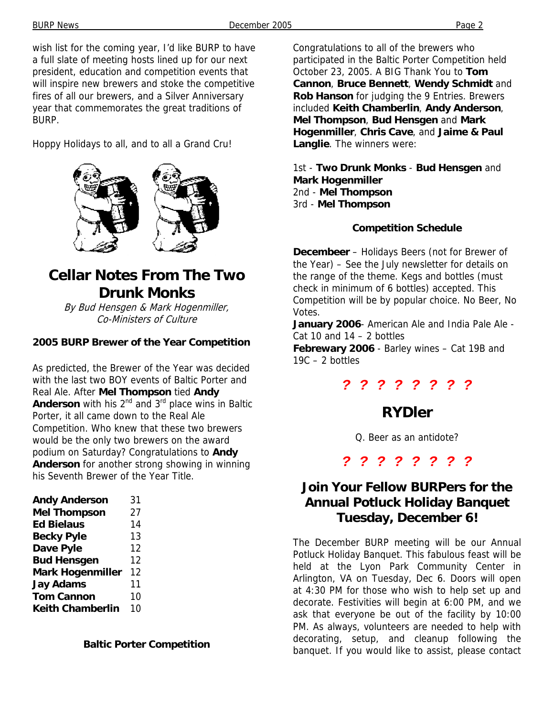wish list for the coming year, I'd like BURP to have a full slate of meeting hosts lined up for our next president, education and competition events that will inspire new brewers and stoke the competitive fires of all our brewers, and a Silver Anniversary year that commemorates the great traditions of BURP.

Hoppy Holidays to all, and to all a Grand Cru!



# **Cellar Notes From The Two Drunk Monks**

By Bud Hensgen & Mark Hogenmiller, Co-Ministers of Culture

#### **2005 BURP Brewer of the Year Competition**

As predicted, the Brewer of the Year was decided with the last two BOY events of Baltic Porter and Real Ale. After **Mel Thompson** tied **Andy Anderson** with his 2<sup>nd</sup> and 3<sup>rd</sup> place wins in Baltic Porter, it all came down to the Real Ale Competition. Who knew that these two brewers would be the only two brewers on the award podium on Saturday? Congratulations to **Andy Anderson** for another strong showing in winning his Seventh Brewer of the Year Title.

| <b>Andy Anderson</b>    | 31 |
|-------------------------|----|
| <b>Mel Thompson</b>     | 27 |
| <b>Ed Bielaus</b>       | 14 |
| <b>Becky Pyle</b>       | 13 |
| Dave Pyle               | 12 |
| <b>Bud Hensgen</b>      | 12 |
| <b>Mark Hogenmiller</b> | 12 |
| <b>Jay Adams</b>        | 11 |
| <b>Tom Cannon</b>       | 10 |
| <b>Keith Chamberlin</b> | 10 |

**Baltic Porter Competition** 

Congratulations to all of the brewers who participated in the Baltic Porter Competition held October 23, 2005. A BIG Thank You to **Tom Cannon**, **Bruce Bennett**, **Wendy Schmidt** and **Rob Hanson** for judging the 9 Entries. Brewers included **Keith Chamberlin**, **Andy Anderson**, **Mel Thompson**, **Bud Hensgen** and **Mark Hogenmiller**, **Chris Cave**, and **Jaime & Paul Langlie**. The winners were:

1st - **Two Drunk Monks** - **Bud Hensgen** and **Mark Hogenmiller** 2nd - **Mel Thompson** 3rd - **Mel Thompson**

#### **Competition Schedule**

**Decembeer** – Holidays Beers (not for Brewer of the Year) – See the July newsletter for details on the range of the theme. Kegs and bottles (must check in minimum of 6 bottles) accepted. This Competition will be by popular choice. No Beer, No Votes.

**January 2006**- American Ale and India Pale Ale - Cat 10 and  $14 - 2$  bottles

**Febrewary 2006** - Barley wines – Cat 19B and  $19C - 2$  bottles

#### *? ? ? ? ? ? ? ?*

## **RYDler**

Q. Beer as an antidote?

*? ? ? ? ? ? ? ?* 

## **Join Your Fellow BURPers for the Annual Potluck Holiday Banquet Tuesday, December 6!**

The December BURP meeting will be our Annual Potluck Holiday Banquet. This fabulous feast will be held at the Lyon Park Community Center in Arlington, VA on Tuesday, Dec 6. Doors will open at 4:30 PM for those who wish to help set up and decorate. Festivities will begin at 6:00 PM, and we ask that everyone be out of the facility by 10:00 PM. As always, volunteers are needed to help with decorating, setup, and cleanup following the banquet. If you would like to assist, please contact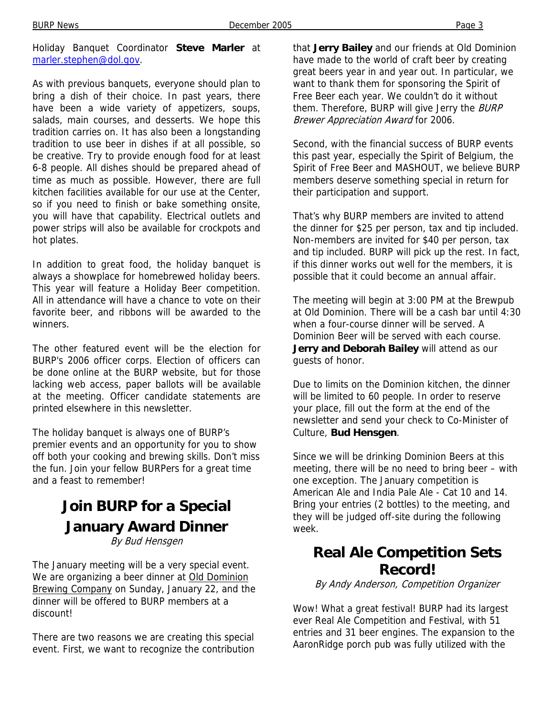Holiday Banquet Coordinator **Steve Marler** at marler.stephen@dol.gov.

As with previous banquets, everyone should plan to bring a dish of their choice. In past years, there have been a wide variety of appetizers, soups, salads, main courses, and desserts. We hope this tradition carries on. It has also been a longstanding tradition to use beer in dishes if at all possible, so be creative. Try to provide enough food for at least 6-8 people. All dishes should be prepared ahead of time as much as possible. However, there are full kitchen facilities available for our use at the Center, so if you need to finish or bake something onsite, you will have that capability. Electrical outlets and power strips will also be available for crockpots and hot plates.

In addition to great food, the holiday banquet is always a showplace for homebrewed holiday beers. This year will feature a Holiday Beer competition. All in attendance will have a chance to vote on their favorite beer, and ribbons will be awarded to the winners.

The other featured event will be the election for BURP's 2006 officer corps. Election of officers can be done online at the BURP website, but for those lacking web access, paper ballots will be available at the meeting. Officer candidate statements are printed elsewhere in this newsletter.

The holiday banquet is always one of BURP's premier events and an opportunity for you to show off both your cooking and brewing skills. Don't miss the fun. Join your fellow BURPers for a great time and a feast to remember!

## **Join BURP for a Special January Award Dinner**  By Bud Hensgen

The January meeting will be a very special event. We are organizing a beer dinner at Old Dominion Brewing Company on Sunday, January 22, and the dinner will be offered to BURP members at a discount!

There are two reasons we are creating this special event. First, we want to recognize the contribution that **Jerry Bailey** and our friends at Old Dominion have made to the world of craft beer by creating great beers year in and year out. In particular, we want to thank them for sponsoring the Spirit of Free Beer each year. We couldn't do it without them. Therefore, BURP will give Jerry the BURP Brewer Appreciation Award for 2006.

Second, with the financial success of BURP events this past year, especially the Spirit of Belgium, the Spirit of Free Beer and MASHOUT, we believe BURP members deserve something special in return for their participation and support.

That's why BURP members are invited to attend the dinner for \$25 per person, tax and tip included. Non-members are invited for \$40 per person, tax and tip included. BURP will pick up the rest. In fact, if this dinner works out well for the members, it is possible that it could become an annual affair.

The meeting will begin at 3:00 PM at the Brewpub at Old Dominion. There will be a cash bar until 4:30 when a four-course dinner will be served. A Dominion Beer will be served with each course. **Jerry and Deborah Bailey** will attend as our guests of honor.

Due to limits on the Dominion kitchen, the dinner will be limited to 60 people. In order to reserve your place, fill out the form at the end of the newsletter and send your check to Co-Minister of Culture, **Bud Hensgen**.

Since we will be drinking Dominion Beers at this meeting, there will be no need to bring beer – with one exception. The January competition is American Ale and India Pale Ale - Cat 10 and 14. Bring your entries (2 bottles) to the meeting, and they will be judged off-site during the following week.

## **Real Ale Competition Sets Record!**

By Andy Anderson, Competition Organizer

Wow! What a great festival! BURP had its largest ever Real Ale Competition and Festival, with 51 entries and 31 beer engines. The expansion to the AaronRidge porch pub was fully utilized with the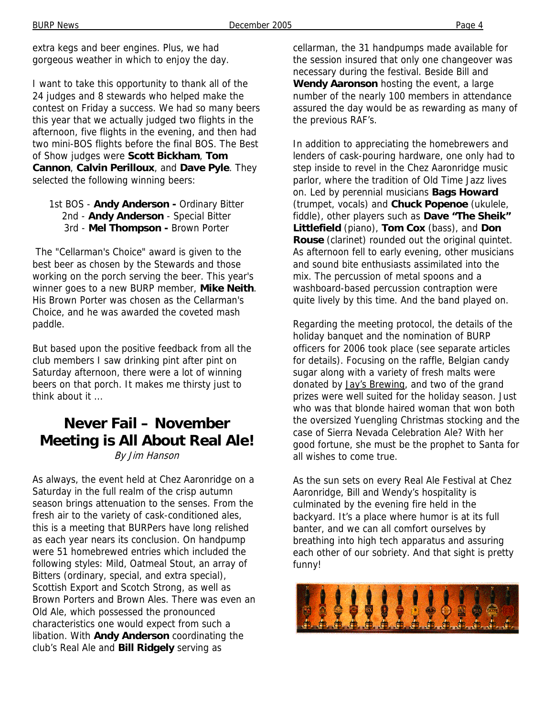extra kegs and beer engines. Plus, we had gorgeous weather in which to enjoy the day.

I want to take this opportunity to thank all of the 24 judges and 8 stewards who helped make the contest on Friday a success. We had so many beers this year that we actually judged two flights in the afternoon, five flights in the evening, and then had two mini-BOS flights before the final BOS. The Best of Show judges were **Scott Bickham**, **Tom Cannon**, **Calvin Perilloux**, and **Dave Pyle**. They selected the following winning beers:

#### 1st BOS - **Andy Anderson -** Ordinary Bitter 2nd - **Andy Anderson** - Special Bitter 3rd - **Mel Thompson -** Brown Porter

 The "Cellarman's Choice" award is given to the best beer as chosen by the Stewards and those working on the porch serving the beer. This year's winner goes to a new BURP member, **Mike Neith**. His Brown Porter was chosen as the Cellarman's Choice, and he was awarded the coveted mash paddle.

But based upon the positive feedback from all the club members I saw drinking pint after pint on Saturday afternoon, there were a lot of winning beers on that porch. It makes me thirsty just to think about it ...

# **Never Fail – November Meeting is All About Real Ale!**

By Jim Hanson

As always, the event held at Chez Aaronridge on a Saturday in the full realm of the crisp autumn season brings attenuation to the senses. From the fresh air to the variety of cask-conditioned ales, this is a meeting that BURPers have long relished as each year nears its conclusion. On handpump were 51 homebrewed entries which included the following styles: Mild, Oatmeal Stout, an array of Bitters (ordinary, special, and extra special), Scottish Export and Scotch Strong, as well as Brown Porters and Brown Ales. There was even an Old Ale, which possessed the pronounced characteristics one would expect from such a libation. With **Andy Anderson** coordinating the club's Real Ale and **Bill Ridgely** serving as

cellarman, the 31 handpumps made available for the session insured that only one changeover was necessary during the festival. Beside Bill and **Wendy Aaronson** hosting the event, a large number of the nearly 100 members in attendance assured the day would be as rewarding as many of the previous RAF's.

In addition to appreciating the homebrewers and lenders of cask-pouring hardware, one only had to step inside to revel in the Chez Aaronridge music parlor, where the tradition of Old Time Jazz lives on. Led by perennial musicians **Bags Howard** (trumpet, vocals) and **Chuck Popenoe** (ukulele, fiddle), other players such as **Dave "The Sheik" Littlefield** (piano), **Tom Cox** (bass), and **Don Rouse** (clarinet) rounded out the original quintet. As afternoon fell to early evening, other musicians and sound bite enthusiasts assimilated into the mix. The percussion of metal spoons and a washboard-based percussion contraption were quite lively by this time. And the band played on.

Regarding the meeting protocol, the details of the holiday banquet and the nomination of BURP officers for 2006 took place (see separate articles for details). Focusing on the raffle, Belgian candy sugar along with a variety of fresh malts were donated by Jay's Brewing, and two of the grand prizes were well suited for the holiday season. Just who was that blonde haired woman that won both the oversized Yuengling Christmas stocking and the case of Sierra Nevada Celebration Ale? With her good fortune, she must be the prophet to Santa for all wishes to come true.

As the sun sets on every Real Ale Festival at Chez Aaronridge, Bill and Wendy's hospitality is culminated by the evening fire held in the backyard. It's a place where humor is at its full banter, and we can all comfort ourselves by breathing into high tech apparatus and assuring each other of our sobriety. And that sight is pretty funny!

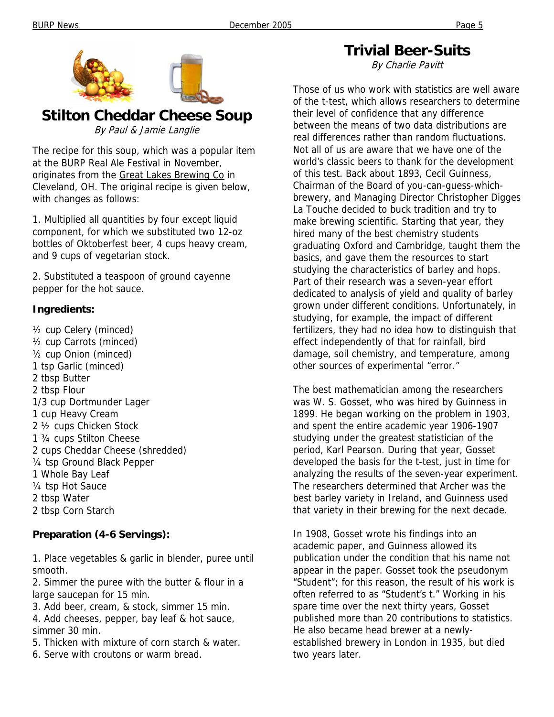

**Stilton Cheddar Cheese Soup**  By Paul & Jamie Langlie

The recipe for this soup, which was a popular item at the BURP Real Ale Festival in November, originates from the Great Lakes Brewing Co in Cleveland, OH. The original recipe is given below, with changes as follows:

1. Multiplied all quantities by four except liquid component, for which we substituted two 12-oz bottles of Oktoberfest beer, 4 cups heavy cream, and 9 cups of vegetarian stock.

2. Substituted a teaspoon of ground cayenne pepper for the hot sauce.

#### **Ingredients:**

½ cup Celery (minced) ½ cup Carrots (minced) ½ cup Onion (minced) 1 tsp Garlic (minced) 2 tbsp Butter 2 tbsp Flour 1/3 cup Dortmunder Lager 1 cup Heavy Cream 2 ½ cups Chicken Stock 1 ¾ cups Stilton Cheese 2 cups Cheddar Cheese (shredded) ¼ tsp Ground Black Pepper 1 Whole Bay Leaf ¼ tsp Hot Sauce 2 tbsp Water 2 tbsp Corn Starch

#### **Preparation (4-6 Servings):**

1. Place vegetables & garlic in blender, puree until smooth.

2. Simmer the puree with the butter & flour in a large saucepan for 15 min.

3. Add beer, cream, & stock, simmer 15 min.

4. Add cheeses, pepper, bay leaf & hot sauce, simmer 30 min.

- 5. Thicken with mixture of corn starch & water.
- 6. Serve with croutons or warm bread.

**Trivial Beer-Suits** 

By Charlie Pavitt

Those of us who work with statistics are well aware of the t-test, which allows researchers to determine their level of confidence that any difference between the means of two data distributions are real differences rather than random fluctuations. Not all of us are aware that we have one of the world's classic beers to thank for the development of this test. Back about 1893, Cecil Guinness, Chairman of the Board of you-can-guess-whichbrewery, and Managing Director Christopher Digges La Touche decided to buck tradition and try to make brewing scientific. Starting that year, they hired many of the best chemistry students graduating Oxford and Cambridge, taught them the basics, and gave them the resources to start studying the characteristics of barley and hops. Part of their research was a seven-year effort dedicated to analysis of yield and quality of barley grown under different conditions. Unfortunately, in studying, for example, the impact of different fertilizers, they had no idea how to distinguish that effect independently of that for rainfall, bird damage, soil chemistry, and temperature, among other sources of experimental "error."

The best mathematician among the researchers was W. S. Gosset, who was hired by Guinness in 1899. He began working on the problem in 1903, and spent the entire academic year 1906-1907 studying under the greatest statistician of the period, Karl Pearson. During that year, Gosset developed the basis for the t-test, just in time for analyzing the results of the seven-year experiment. The researchers determined that Archer was the best barley variety in Ireland, and Guinness used that variety in their brewing for the next decade.

In 1908, Gosset wrote his findings into an academic paper, and Guinness allowed its publication under the condition that his name not appear in the paper. Gosset took the pseudonym "Student"; for this reason, the result of his work is often referred to as "Student's t." Working in his spare time over the next thirty years, Gosset published more than 20 contributions to statistics. He also became head brewer at a newlyestablished brewery in London in 1935, but died two years later.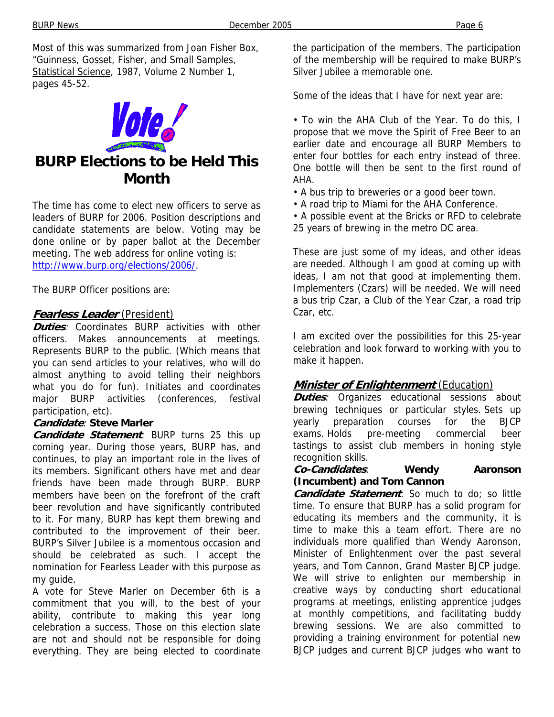BURP News **December 2005** Page 6

Most of this was summarized from Joan Fisher Box, "Guinness, Gosset, Fisher, and Small Samples, Statistical Science, 1987, Volume 2 Number 1, pages 45-52.



## **BURP Elections to be Held This Month**

The time has come to elect new officers to serve as leaders of BURP for 2006. Position descriptions and candidate statements are below. Voting may be done online or by paper ballot at the December meeting. The web address for online voting is: http://www.burp.org/elections/2006/.

The BURP Officer positions are:

#### **Fearless Leader** (President)

**Duties**: Coordinates BURP activities with other officers. Makes announcements at meetings. Represents BURP to the public. (Which means that you can send articles to your relatives, who will do almost anything to avoid telling their neighbors what you do for fun). Initiates and coordinates major BURP activities (conferences, festival participation, etc).

#### **Candidate**: **Steve Marler**

**Candidate Statement**: BURP turns 25 this up coming year. During those years, BURP has, and continues, to play an important role in the lives of its members. Significant others have met and dear friends have been made through BURP. BURP members have been on the forefront of the craft beer revolution and have significantly contributed to it. For many, BURP has kept them brewing and contributed to the improvement of their beer. BURP's Silver Jubilee is a momentous occasion and should be celebrated as such. I accept the nomination for Fearless Leader with this purpose as my guide.

A vote for Steve Marler on December 6th is a commitment that you will, to the best of your ability, contribute to making this year long celebration a success. Those on this election slate are not and should not be responsible for doing everything. They are being elected to coordinate the participation of the members. The participation of the membership will be required to make BURP's Silver Jubilee a memorable one.

Some of the ideas that I have for next year are:

• To win the AHA Club of the Year. To do this, I propose that we move the Spirit of Free Beer to an earlier date and encourage all BURP Members to enter four bottles for each entry instead of three. One bottle will then be sent to the first round of AHA.

• A bus trip to breweries or a good beer town.

• A road trip to Miami for the AHA Conference.

• A possible event at the Bricks or RFD to celebrate 25 years of brewing in the metro DC area.

These are just some of my ideas, and other ideas are needed. Although I am good at coming up with ideas, I am not that good at implementing them. Implementers (Czars) will be needed. We will need a bus trip Czar, a Club of the Year Czar, a road trip Czar, etc.

I am excited over the possibilities for this 25-year celebration and look forward to working with you to make it happen.

#### **Minister of Enlightenment** (Education)

**Duties**: Organizes educational sessions about brewing techniques or particular styles. Sets up yearly preparation courses for the BJCP exams. Holds pre-meeting commercial beer tastings to assist club members in honing style recognition skills.

#### **Co-Candidates**: **Wendy Aaronson (Incumbent) and Tom Cannon**

**Candidate Statement**: So much to do; so little time. To ensure that BURP has a solid program for educating its members and the community, it is time to make this a team effort. There are no individuals more qualified than Wendy Aaronson, Minister of Enlightenment over the past several years, and Tom Cannon, Grand Master BJCP judge. We will strive to enlighten our membership in creative ways by conducting short educational programs at meetings, enlisting apprentice judges at monthly competitions, and facilitating buddy brewing sessions. We are also committed to providing a training environment for potential new BJCP judges and current BJCP judges who want to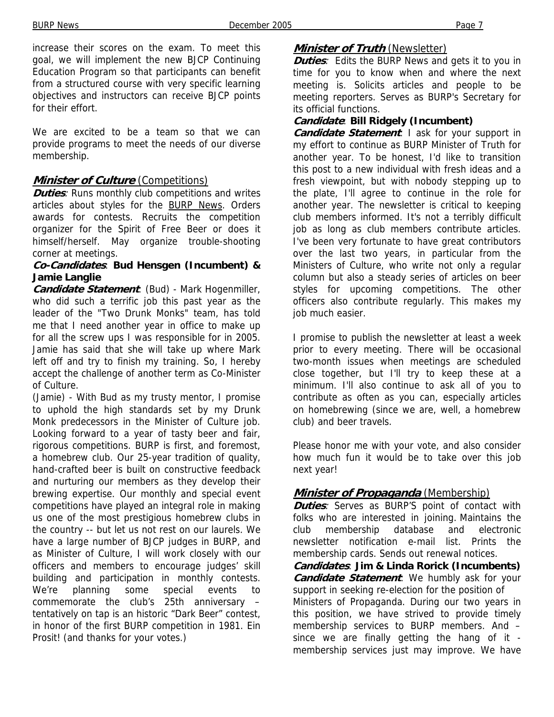increase their scores on the exam. To meet this goal, we will implement the new BJCP Continuing Education Program so that participants can benefit from a structured course with very specific learning objectives and instructors can receive BJCP points for their effort.

We are excited to be a team so that we can provide programs to meet the needs of our diverse membership.

#### **Minister of Culture** (Competitions)

**Duties**: Runs monthly club competitions and writes articles about styles for the BURP News. Orders awards for contests. Recruits the competition organizer for the Spirit of Free Beer or does it himself/herself. May organize trouble-shooting corner at meetings.

#### **Co-Candidates**: **Bud Hensgen (Incumbent) & Jamie Langlie**

**Candidate Statement**: (Bud) - Mark Hogenmiller, who did such a terrific job this past year as the leader of the "Two Drunk Monks" team, has told me that I need another year in office to make up for all the screw ups I was responsible for in 2005. Jamie has said that she will take up where Mark left off and try to finish my training. So, I hereby accept the challenge of another term as Co-Minister of Culture.

(Jamie) - With Bud as my trusty mentor, I promise to uphold the high standards set by my Drunk Monk predecessors in the Minister of Culture job. Looking forward to a year of tasty beer and fair, rigorous competitions. BURP is first, and foremost, a homebrew club. Our 25-year tradition of quality, hand-crafted beer is built on constructive feedback and nurturing our members as they develop their brewing expertise. Our monthly and special event competitions have played an integral role in making us one of the most prestigious homebrew clubs in the country -- but let us not rest on our laurels. We have a large number of BJCP judges in BURP, and as Minister of Culture, I will work closely with our officers and members to encourage judges' skill building and participation in monthly contests. We're planning some special events to commemorate the club's 25th anniversary – tentatively on tap is an historic "Dark Beer" contest, in honor of the first BURP competition in 1981. Ein Prosit! (and thanks for your votes.)

#### **Minister of Truth** (Newsletter)

**Duties**: Edits the BURP News and gets it to you in time for you to know when and where the next meeting is. Solicits articles and people to be meeting reporters. Serves as BURP's Secretary for its official functions.

#### **Candidate**: **Bill Ridgely (Incumbent)**

**Candidate Statement**: I ask for your support in my effort to continue as BURP Minister of Truth for another year. To be honest, I'd like to transition this post to a new individual with fresh ideas and a fresh viewpoint, but with nobody stepping up to the plate, I'll agree to continue in the role for another year. The newsletter is critical to keeping club members informed. It's not a terribly difficult job as long as club members contribute articles. I've been very fortunate to have great contributors over the last two years, in particular from the Ministers of Culture, who write not only a regular column but also a steady series of articles on beer styles for upcoming competitions. The other officers also contribute regularly. This makes my job much easier.

I promise to publish the newsletter at least a week prior to every meeting. There will be occasional two-month issues when meetings are scheduled close together, but I'll try to keep these at a minimum. I'll also continue to ask all of you to contribute as often as you can, especially articles on homebrewing (since we are, well, a homebrew club) and beer travels.

Please honor me with your vote, and also consider how much fun it would be to take over this job next year!

#### **Minister of Propaganda** (Membership)

**Duties**: Serves as BURP'S point of contact with folks who are interested in joining. Maintains the club membership database and electronic newsletter notification e-mail list. Prints the membership cards. Sends out renewal notices.

**Candidates**: **Jim & Linda Rorick (Incumbents) Candidate Statement**: We humbly ask for your support in seeking re-election for the position of Ministers of Propaganda. During our two years in this position, we have strived to provide timely membership services to BURP members. And – since we are finally getting the hang of it membership services just may improve. We have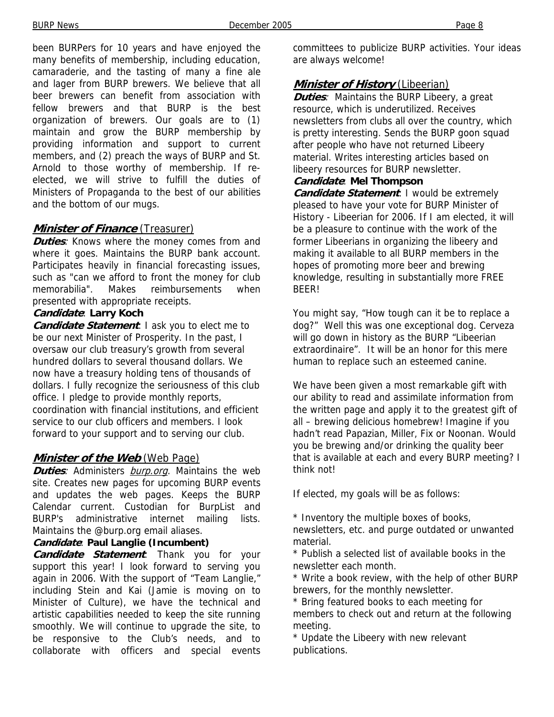been BURPers for 10 years and have enjoyed the many benefits of membership, including education, camaraderie, and the tasting of many a fine ale and lager from BURP brewers. We believe that all beer brewers can benefit from association with fellow brewers and that BURP is the best organization of brewers. Our goals are to (1) maintain and grow the BURP membership by providing information and support to current

members, and (2) preach the ways of BURP and St. Arnold to those worthy of membership. If reelected, we will strive to fulfill the duties of Ministers of Propaganda to the best of our abilities and the bottom of our mugs.

#### **Minister of Finance** (Treasurer)

**Duties**: Knows where the money comes from and where it goes. Maintains the BURP bank account. Participates heavily in financial forecasting issues, such as "can we afford to front the money for club memorabilia". Makes reimbursements when presented with appropriate receipts.

#### **Candidate**: **Larry Koch**

**Candidate Statement**: I ask you to elect me to be our next Minister of Prosperity. In the past, I oversaw our club treasury's growth from several hundred dollars to several thousand dollars. We now have a treasury holding tens of thousands of dollars. I fully recognize the seriousness of this club office. I pledge to provide monthly reports, coordination with financial institutions, and efficient service to our club officers and members. I look forward to your support and to serving our club.

#### **Minister of the Web** (Web Page)

**Duties**: Administers burp.org. Maintains the web site. Creates new pages for upcoming BURP events and updates the web pages. Keeps the BURP Calendar current. Custodian for BurpList and BURP's administrative internet mailing lists. Maintains the @burp.org email aliases.

#### **Candidate**: **Paul Langlie (Incumbent)**

**Candidate Statement**: Thank you for your support this year! I look forward to serving you again in 2006. With the support of "Team Langlie," including Stein and Kai (Jamie is moving on to Minister of Culture), we have the technical and artistic capabilities needed to keep the site running smoothly. We will continue to upgrade the site, to be responsive to the Club's needs, and to collaborate with officers and special events

committees to publicize BURP activities. Your ideas are always welcome!

### **Minister of History** (Libeerian)

**Duties:** Maintains the BURP Libeery, a great resource, which is underutilized. Receives newsletters from clubs all over the country, which is pretty interesting. Sends the BURP goon squad after people who have not returned Libeery material. Writes interesting articles based on libeery resources for BURP newsletter.

#### **Candidate**: **Mel Thompson**

*Candidate Statement***: I would be extremely** pleased to have your vote for BURP Minister of History - Libeerian for 2006. If I am elected, it will be a pleasure to continue with the work of the former Libeerians in organizing the libeery and making it available to all BURP members in the hopes of promoting more beer and brewing knowledge, resulting in substantially more FREE BEER!

You might say, "How tough can it be to replace a dog?" Well this was one exceptional dog. Cerveza will go down in history as the BURP "Libeerian extraordinaire". It will be an honor for this mere human to replace such an esteemed canine.

We have been given a most remarkable gift with our ability to read and assimilate information from the written page and apply it to the greatest gift of all – brewing delicious homebrew! Imagine if you hadn't read Papazian, Miller, Fix or Noonan. Would you be brewing and/or drinking the quality beer that is available at each and every BURP meeting? I think not!

If elected, my goals will be as follows:

\* Inventory the multiple boxes of books,

newsletters, etc. and purge outdated or unwanted material.

\* Publish a selected list of available books in the newsletter each month.

\* Write a book review, with the help of other BURP brewers, for the monthly newsletter.

\* Bring featured books to each meeting for members to check out and return at the following meeting.

\* Update the Libeery with new relevant publications.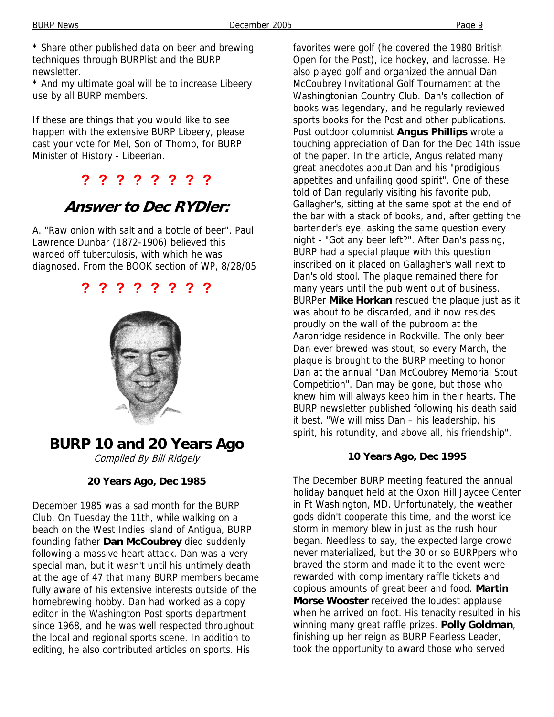\* Share other published data on beer and brewing techniques through BURPlist and the BURP newsletter.

\* And my ultimate goal will be to increase Libeery use by all BURP members.

If these are things that you would like to see happen with the extensive BURP Libeery, please cast your vote for Mel, Son of Thomp, for BURP Minister of History - Libeerian.

## **? ? ? ? ? ? ? ?**

# **Answer to Dec RYDler:**

A. "Raw onion with salt and a bottle of beer". Paul Lawrence Dunbar (1872-1906) believed this warded off tuberculosis, with which he was diagnosed. From the BOOK section of WP, 8/28/05





# **BURP 10 and 20 Years Ago**

Compiled By Bill Ridgely

#### **20 Years Ago, Dec 1985**

December 1985 was a sad month for the BURP Club. On Tuesday the 11th, while walking on a beach on the West Indies island of Antigua, BURP founding father **Dan McCoubrey** died suddenly following a massive heart attack. Dan was a very special man, but it wasn't until his untimely death at the age of 47 that many BURP members became fully aware of his extensive interests outside of the homebrewing hobby. Dan had worked as a copy editor in the Washington Post sports department since 1968, and he was well respected throughout the local and regional sports scene. In addition to editing, he also contributed articles on sports. His

favorites were golf (he covered the 1980 British Open for the Post), ice hockey, and lacrosse. He also played golf and organized the annual Dan McCoubrey Invitational Golf Tournament at the Washingtonian Country Club. Dan's collection of books was legendary, and he regularly reviewed sports books for the Post and other publications. Post outdoor columnist **Angus Phillips** wrote a touching appreciation of Dan for the Dec 14th issue of the paper. In the article, Angus related many great anecdotes about Dan and his "prodigious appetites and unfailing good spirit". One of these told of Dan regularly visiting his favorite pub, Gallagher's, sitting at the same spot at the end of the bar with a stack of books, and, after getting the bartender's eye, asking the same question every night - "Got any beer left?". After Dan's passing, BURP had a special plaque with this question inscribed on it placed on Gallagher's wall next to Dan's old stool. The plaque remained there for many years until the pub went out of business. BURPer **Mike Horkan** rescued the plaque just as it was about to be discarded, and it now resides proudly on the wall of the pubroom at the Aaronridge residence in Rockville. The only beer Dan ever brewed was stout, so every March, the plaque is brought to the BURP meeting to honor Dan at the annual "Dan McCoubrey Memorial Stout Competition". Dan may be gone, but those who knew him will always keep him in their hearts. The BURP newsletter published following his death said it best. "We will miss Dan – his leadership, his spirit, his rotundity, and above all, his friendship".

## **10 Years Ago, Dec 1995**

The December BURP meeting featured the annual holiday banquet held at the Oxon Hill Jaycee Center in Ft Washington, MD. Unfortunately, the weather gods didn't cooperate this time, and the worst ice storm in memory blew in just as the rush hour began. Needless to say, the expected large crowd never materialized, but the 30 or so BURPpers who braved the storm and made it to the event were rewarded with complimentary raffle tickets and copious amounts of great beer and food. **Martin Morse Wooster** received the loudest applause when he arrived on foot. His tenacity resulted in his winning many great raffle prizes. **Polly Goldman**, finishing up her reign as BURP Fearless Leader, took the opportunity to award those who served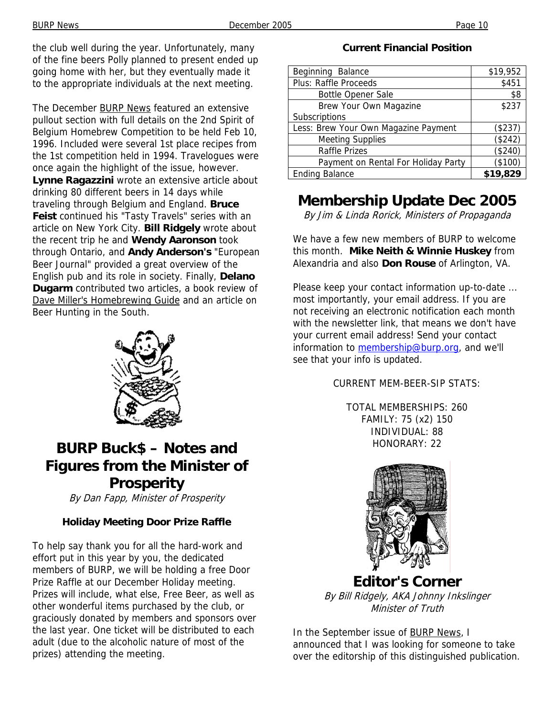the club well during the year. Unfortunately, many of the fine beers Polly planned to present ended up going home with her, but they eventually made it to the appropriate individuals at the next meeting.

The December BURP News featured an extensive pullout section with full details on the 2nd Spirit of Belgium Homebrew Competition to be held Feb 10, 1996. Included were several 1st place recipes from the 1st competition held in 1994. Travelogues were once again the highlight of the issue, however. **Lynne Ragazzini** wrote an extensive article about drinking 80 different beers in 14 days while traveling through Belgium and England. **Bruce Feist** continued his "Tasty Travels" series with an article on New York City. **Bill Ridgely** wrote about the recent trip he and **Wendy Aaronson** took through Ontario, and **Andy Anderson's** "European Beer Journal" provided a great overview of the English pub and its role in society. Finally, **Delano Dugarm** contributed two articles, a book review of Dave Miller's Homebrewing Guide and an article on Beer Hunting in the South.



## **BURP Buck\$ – Notes and Figures from the Minister of Prosperity**

By Dan Fapp, Minister of Prosperity

## **Holiday Meeting Door Prize Raffle**

To help say thank you for all the hard-work and effort put in this year by you, the dedicated members of BURP, we will be holding a free Door Prize Raffle at our December Holiday meeting. Prizes will include, what else, Free Beer, as well as other wonderful items purchased by the club, or graciously donated by members and sponsors over the last year. One ticket will be distributed to each adult (due to the alcoholic nature of most of the prizes) attending the meeting.

#### **Current Financial Position**

| Beginning Balance                    | \$19,952 |
|--------------------------------------|----------|
| <b>Plus: Raffle Proceeds</b>         | \$451    |
| <b>Bottle Opener Sale</b>            | \$8      |
| Brew Your Own Magazine               | \$237    |
| Subscriptions                        |          |
| Less: Brew Your Own Magazine Payment | (\$237)  |
| <b>Meeting Supplies</b>              | (\$242)  |
| <b>Raffle Prizes</b>                 | (\$240)  |
| Payment on Rental For Holiday Party  | (\$100)  |
| <b>Ending Balance</b>                | \$19,829 |

# **Membership Update Dec 2005**

By Jim & Linda Rorick, Ministers of Propaganda

We have a few new members of BURP to welcome this month. **Mike Neith & Winnie Huskey** from Alexandria and also **Don Rouse** of Arlington, VA.

Please keep your contact information up-to-date ... most importantly, your email address. If you are not receiving an electronic notification each month with the newsletter link, that means we don't have your current email address! Send your contact information to membership@burp.org, and we'll see that your info is updated.

#### CURRENT MEM-BEER-SIP STATS:

TOTAL MEMBERSHIPS: 260 FAMILY: 75 (x2) 150 INDIVIDUAL: 88 HONORARY: 22



**Editor's Corner** By Bill Ridgely, AKA Johnny Inkslinger Minister of Truth

In the September issue of **BURP News**, I announced that I was looking for someone to take over the editorship of this distinguished publication.